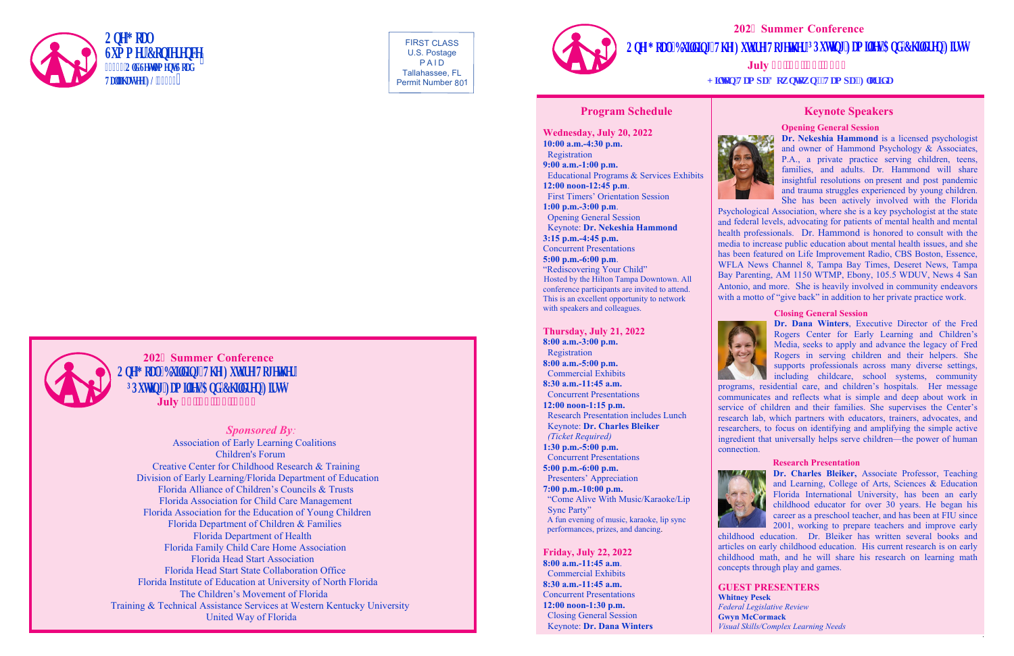FIRST CLASS U.S. Postage P A I D Tallahassee, FL Permit Number 801

**202 Summer Conference 2008** Qpg'I qcn: Dwlaf lpi "Vj g"Hwwt g"Vqi gyj gt  $\tilde{O}$ Rwwlpi 'Ho klgu'Cpf 'Ej kf t gp'Ht uvö July 42.'43.'44.'4244



*Sponsored By:* 

Association of Early Learning Coalitions Children's Forum Creative Center for Childhood Research & Training Division of Early Learning/Florida Department of Education Florida Alliance of Children's Councils & Trusts Florida Association for Child Care Management Florida Association for the Education of Young Children Florida Department of Children & Families Florida Department of Health Florida Family Child Care Home Association Florida Head Start Association Florida Head Start State Collaboration Office Florida Institute of Education at University of North Florida The Children's Movement of Florida Training & Technical Assistance Services at Western Kentucky University United Way of Florida

# **7 12DO 12DO 12DO 12DO 12DO 12DO 12DO 12DO 12DO 12DO 12DO 12DO 12DO 12DO 12DO 12DO 12DO 12DO 12DO 12DO 12DO 12DO 12DO 12DO 12DO 12DO 12DO 12DO 12DO 12DO 12DO 2Qpg'T** qcn<'Dwkf kpi ''Vjg''Hwwtg''Vqigvjgt''oTRwwkpi 'Ho kdgu'Cpf 'Ej kf tgp'Ht uvo **July**



# **202 Summer Conference**

**Program Schedule**

**Wednesday, July 20, 2022 10:00 a.m.-4:30 p.m. 9:00 a.m.-1:00 p.m.** Registration  **12:00 noon-12:45 p.m**. Educational Programs & Services Exhibits **1:00 p.m.-3:00 p.m**. First Timers' Orientation Session **3:15 p.m.-4:45 p.m.** Opening General Session 3:15 **p.m.**-4:45 **p.m.**<br>Concurrent Presentations Keynote: **Dr. Nekeshia Hammond 5:00 p.m.-6:00 p.m**. "Rediscovering Your Child" This is an excellent opportunity to network Hosted by the Hilton Tampa Downtown. All conference participants are invited to attend. with speakers and colleagues.



She has been actively involved with the Florida Psychological Association, where she is a key psychologist at the state and federal levels, advocating for patients of mental health and mental health professionals. Dr. Hammond is honored to consult with the media to increase public education about mental health issues, and she has been featured on Life Improvement Radio, CBS Boston, Essence, WFLA News Channel 8, Tampa Bay Times, Deseret News, Tampa Bay Parenting, AM 1150 WTMP, Ebony, 105.5 WDUV, News 4 San Antonio, and more. She is heavily involved in community endeavors with a motto of "give back" in addition to her private practice work.



**Friday, July 22, 2022 8:00 a.m.-11:45 a.m**. Commercial Exhibits **8:30 a.m.-11:45 a.m.** Concurrent Presentations **12:00 noon-1:30 p.m.** Closing General Session Keynote: **Dr. Dana Winters**



# **Keynote Speakers**

### **Opening General Session**

### **Closing General Session**

**Dr. Dana Winters**, Executive Director of the Fred Rogers Center for Early Learning and Children's Media, seeks to apply and advance the legacy of Fred Rogers in serving children and their helpers. She supports professionals across many diverse settings, including childcare, school systems, community

programs, residential care, and children's hospitals. Her message communicates and reflects what is simple and deep about work in service of children and their families. She supervises the Center's research lab, which partners with educators, trainers, advocates, and researchers, to focus on identifying and amplifying the simple active ingredient that universally helps serve children—the power of human

connection.



### **Research Presentation**

**Dr. Charles Bleiker,** Associate Professor, Teaching and Learning, College of Arts, Sciences & Education Florida International University, has been an early childhood educator for over 30 years. He began his career as a preschool teacher, and has been at FIU since 2001, working to prepare teachers and improve early

childhood education. Dr. Bleiker has written several books and articles on early childhood education. His current research is on early childhood math, and he will share his research on learning math concepts through play and games.

**GUEST PRESENTERS Whitney Pesek** *Federal Legislative Review* **Gwyn McCormack** *Visual Skills/Complex Learning Needs*



**Dr. Nekeshia Hammond** is a licensed psychologist and owner of Hammond Psychology & Associates, P.A., a private practice serving children, teens, families, and adults. Dr. Hammond will share insightful resolutions on present and post pandemic and trauma struggles experienced by young children.